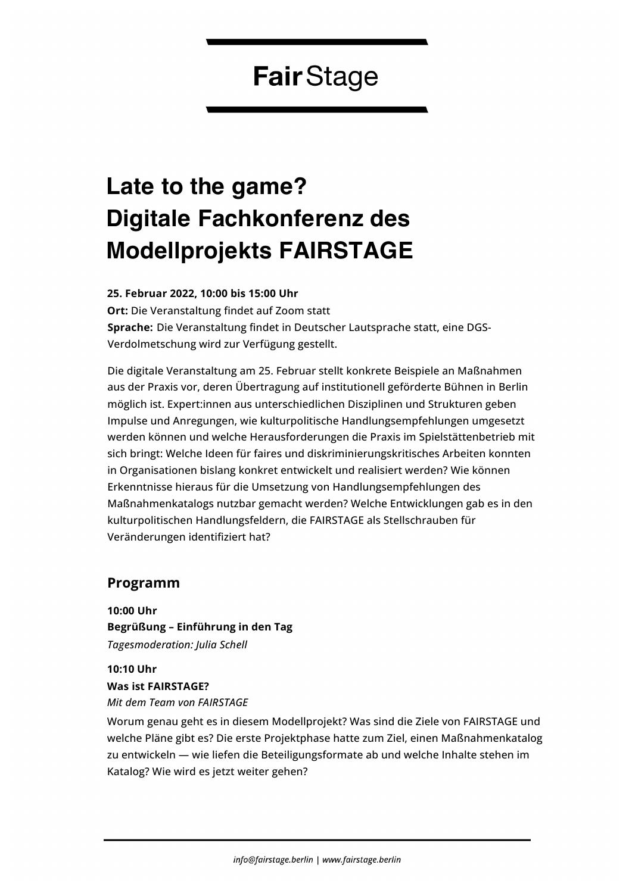# **FairStage**

# **Late to the game? Digitale Fachkonferenz des Modellprojekts FAIRSTAGE**

#### **25. Februar 2022, 10:00 bis 15:00 Uhr**

**Ort:** Die Veranstaltung findet auf Zoom statt **Sprache:** Die Veranstaltung findet in Deutscher Lautsprache statt, eine DGS-Verdolmetschung wird zur Verfügung gestellt.

Die digitale Veranstaltung am 25. Februar stellt konkrete Beispiele an Maßnahmen aus der Praxis vor, deren Übertragung auf institutionell geförderte Bühnen in Berlin möglich ist. Expert:innen aus unterschiedlichen Disziplinen und Strukturen geben Impulse und Anregungen, wie kulturpolitische Handlungsempfehlungen umgesetzt werden können und welche Herausforderungen die Praxis im Spielstättenbetrieb mit sich bringt: Welche Ideen für faires und diskriminierungskritisches Arbeiten konnten in Organisationen bislang konkret entwickelt und realisiert werden? Wie können Erkenntnisse hieraus für die Umsetzung von Handlungsempfehlungen des Maßnahmenkatalogs nutzbar gemacht werden? Welche Entwicklungen gab es in den kulturpolitischen Handlungsfeldern, die FAIRSTAGE als Stellschrauben für Veränderungen identifiziert hat?

#### **Programm**

**10:00 Uhr Begrüßung – Einführung in den Tag** *Tagesmoderation: Julia Schell*

**10:10 Uhr Was ist FAIRSTAGE?** *Mit dem Team von FAIRSTAGE*

Worum genau geht es in diesem Modellprojekt? Was sind die Ziele von FAIRSTAGE und welche Pläne gibt es? Die erste Projektphase hatte zum Ziel, einen Maßnahmenkatalog zu entwickeln — wie liefen die Beteiligungsformate ab und welche Inhalte stehen im Katalog? Wie wird es jetzt weiter gehen?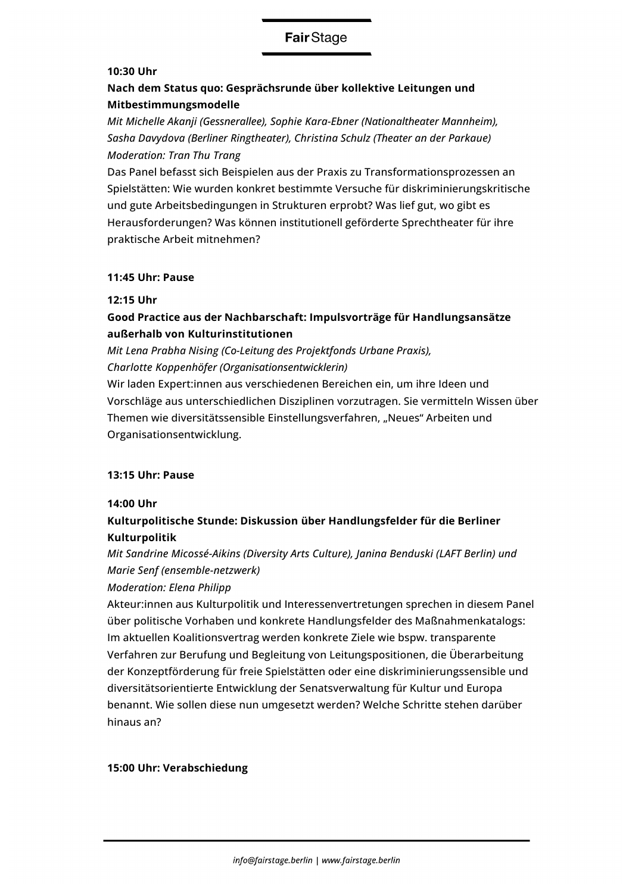# **FairStage**

#### **10:30 Uhr**

# **Nach dem Status quo: Gesprächsrunde über kollektive Leitungen und Mitbestimmungsmodelle**

*Mit Michelle Akanji (Gessnerallee), Sophie Kara-Ebner (Nationaltheater Mannheim), Sasha Davydova (Berliner Ringtheater), Christina Schulz (Theater an der Parkaue) Moderation: Tran Thu Trang* 

Das Panel befasst sich Beispielen aus der Praxis zu Transformationsprozessen an Spielstätten: Wie wurden konkret bestimmte Versuche für diskriminierungskritische und gute Arbeitsbedingungen in Strukturen erprobt? Was lief gut, wo gibt es Herausforderungen? Was können institutionell geförderte Sprechtheater für ihre praktische Arbeit mitnehmen?

#### **11:45 Uhr: Pause**

#### **12:15 Uhr**

## **Good Practice aus der Nachbarschaft: Impulsvorträge für Handlungsansätze außerhalb von Kulturinstitutionen**

*Mit Lena Prabha Nising (Co-Leitung des Projektfonds Urbane Praxis),* 

*Charlotte Koppenhöfer (Organisationsentwicklerin)* 

Wir laden Expert:innen aus verschiedenen Bereichen ein, um ihre Ideen und Vorschläge aus unterschiedlichen Disziplinen vorzutragen. Sie vermitteln Wissen über Themen wie diversitätssensible Einstellungsverfahren, "Neues" Arbeiten und Organisationsentwicklung.

#### **13:15 Uhr: Pause**

#### **14:00 Uhr**

# **Kulturpolitische Stunde: Diskussion über Handlungsfelder für die Berliner Kulturpolitik**

*Mit Sandrine Micossé-Aikins (Diversity Arts Culture), Janina Benduski (LAFT Berlin) und Marie Senf (ensemble-netzwerk)* 

#### *Moderation: Elena Philipp*

Akteur:innen aus Kulturpolitik und Interessenvertretungen sprechen in diesem Panel über politische Vorhaben und konkrete Handlungsfelder des Maßnahmenkatalogs: Im aktuellen Koalitionsvertrag werden konkrete Ziele wie bspw. transparente Verfahren zur Berufung und Begleitung von Leitungspositionen, die Überarbeitung der Konzeptförderung für freie Spielstätten oder eine diskriminierungssensible und diversitätsorientierte Entwicklung der Senatsverwaltung für Kultur und Europa benannt. Wie sollen diese nun umgesetzt werden? Welche Schritte stehen darüber hinaus an?

#### **15:00 Uhr: Verabschiedung**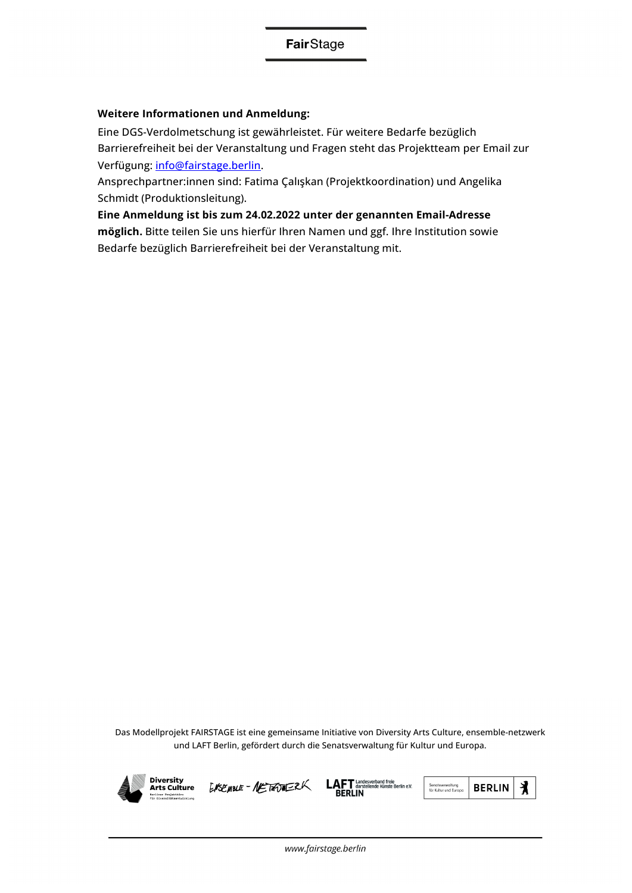#### **Weitere Informationen und Anmeldung:**

Eine DGS-Verdolmetschung ist gewährleistet. Für weitere Bedarfe bezüglich Barrierefreiheit bei der Veranstaltung und Fragen steht das Projektteam per Email zur Verfügung: info@fairstage.berlin.

Ansprechpartner:innen sind: Fatima Çalışkan (Projektkoordination) und Angelika Schmidt (Produktionsleitung).

**Eine Anmeldung ist bis zum 24.02.2022 unter der genannten Email-Adresse möglich.** Bitte teilen Sie uns hierfür Ihren Namen und ggf. Ihre Institution sowie Bedarfe bezüglich Barrierefreiheit bei der Veranstaltung mit.

Das Modellprojekt FAIRSTAGE ist eine gemeinsame Initiative von Diversity Arts Culture, ensemble-netzwerk und LAFT Berlin, gefördert durch die Senatsverwaltung für Kultur und Europa.



**Diversity Arts Culture** 







www.fairstage.berlin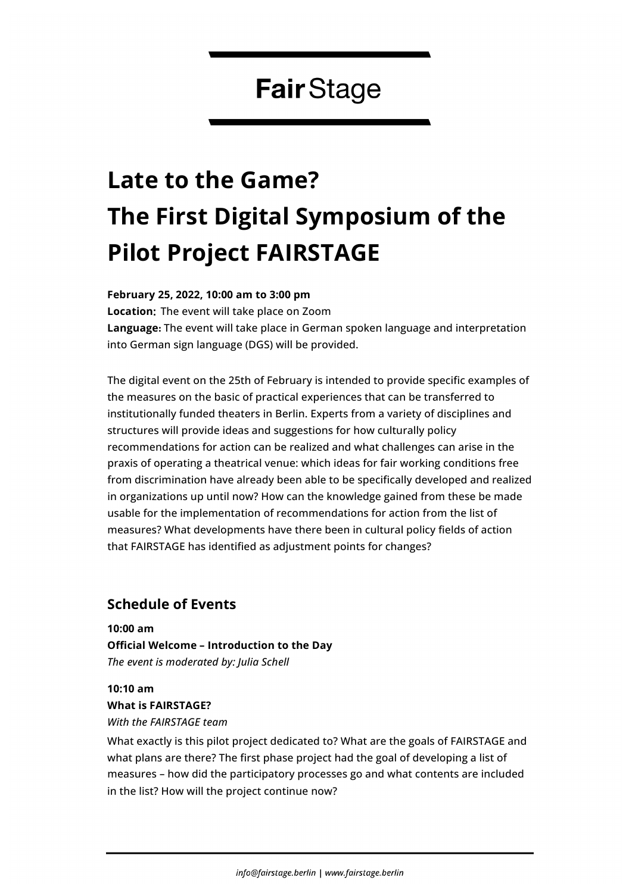# **FairStage**

# **Late to the Game? The First Digital Symposium of the Pilot Project FAIRSTAGE**

**February 25, 2022, 10:00 am to 3:00 pm**

**Location**: The event will take place on Zoom

**Language:** The event will take place in German spoken language and interpretation into German sign language (DGS) will be provided.

The digital event on the 25th of February is intended to provide specific examples of the measures on the basic of practical experiences that can be transferred to institutionally funded theaters in Berlin. Experts from a variety of disciplines and structures will provide ideas and suggestions for how culturally policy recommendations for action can be realized and what challenges can arise in the praxis of operating a theatrical venue: which ideas for fair working conditions free from discrimination have already been able to be specifically developed and realized in organizations up until now? How can the knowledge gained from these be made usable for the implementation of recommendations for action from the list of measures? What developments have there been in cultural policy fields of action that FAIRSTAGE has identified as adjustment points for changes?

# **Schedule of Events**

**10:00 am Official Welcome – Introduction to the Day** *The event is moderated by: Julia Schell*

**10:10 am What is FAIRSTAGE?** *With the FAIRSTAGE team*

What exactly is this pilot project dedicated to? What are the goals of FAIRSTAGE and what plans are there? The first phase project had the goal of developing a list of measures – how did the participatory processes go and what contents are included in the list? How will the project continue now?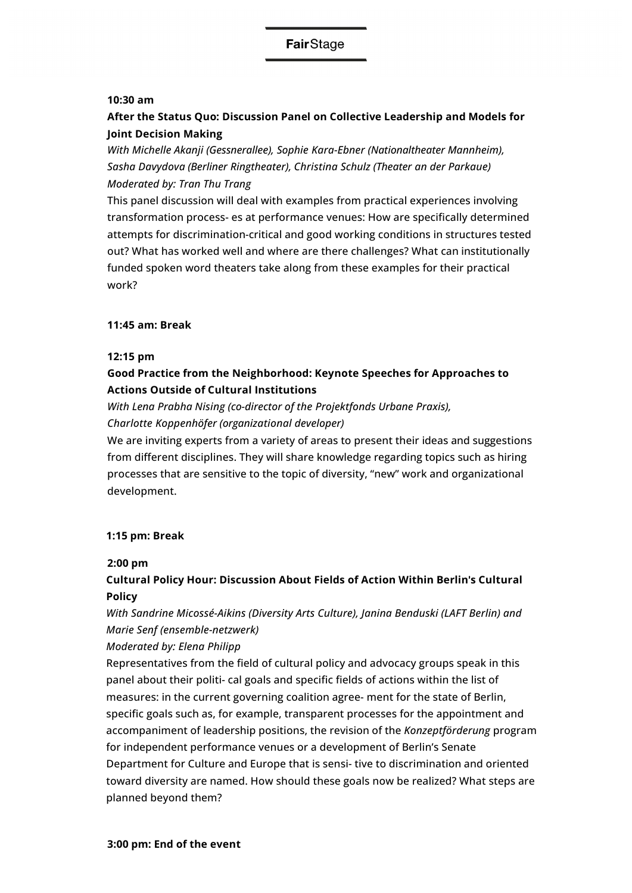#### **10:30 am**

# **After the Status Quo: Discussion Panel on Collective Leadership and Models for Joint Decision Making**

*With Michelle Akanji (Gessnerallee), Sophie Kara-Ebner (Nationaltheater Mannheim), Sasha Davydova (Berliner Ringtheater), Christina Schulz (Theater an der Parkaue) Moderated by: Tran Thu Trang* 

This panel discussion will deal with examples from practical experiences involving transformation process- es at performance venues: How are specifically determined attempts for discrimination-critical and good working conditions in structures tested out? What has worked well and where are there challenges? What can institutionally funded spoken word theaters take along from these examples for their practical work?

#### **11:45 am: Break**

#### **12:15 pm**

### **Good Practice from the Neighborhood: Keynote Speeches for Approaches to Actions Outside of Cultural Institutions**

*With Lena Prabha Nising (co-director of the Projektfonds Urbane Praxis), Charlotte Koppenhöfer (organizational developer)* 

We are inviting experts from a variety of areas to present their ideas and suggestions from different disciplines. They will share knowledge regarding topics such as hiring processes that are sensitive to the topic of diversity, "new" work and organizational development.

#### **1:15 pm: Break**

#### **2:00 pm**

### **Cultural Policy Hour: Discussion About Fields of Action Within Berlin**!**s Cultural Policy**

*With Sandrine Micossé-Aikins (Diversity Arts Culture), Janina Benduski (LAFT Berlin) and Marie Senf (ensemble-netzwerk)* 

#### *Moderated by: Elena Philipp*

Representatives from the field of cultural policy and advocacy groups speak in this panel about their politi- cal goals and specific fields of actions within the list of measures: in the current governing coalition agree- ment for the state of Berlin, specific goals such as, for example, transparent processes for the appointment and accompaniment of leadership positions, the revision of the *Konzeptförderung* program for independent performance venues or a development of Berlin's Senate Department for Culture and Europe that is sensi- tive to discrimination and oriented toward diversity are named. How should these goals now be realized? What steps are planned beyond them?